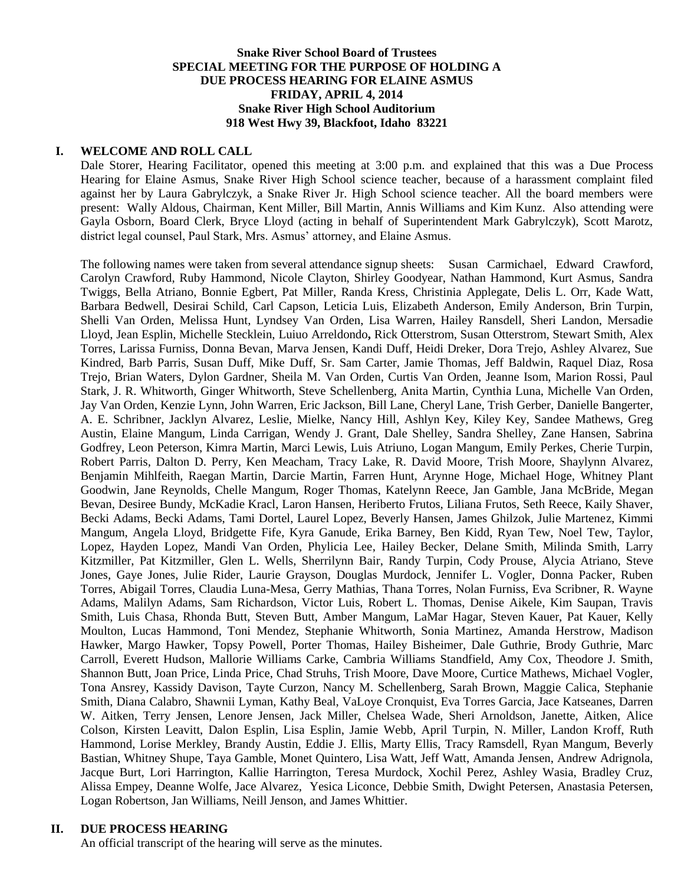# **Snake River School Board of Trustees SPECIAL MEETING FOR THE PURPOSE OF HOLDING A DUE PROCESS HEARING FOR ELAINE ASMUS FRIDAY, APRIL 4, 2014 Snake River High School Auditorium 918 West Hwy 39, Blackfoot, Idaho 83221**

## **I. WELCOME AND ROLL CALL**

Dale Storer, Hearing Facilitator, opened this meeting at 3:00 p.m. and explained that this was a Due Process Hearing for Elaine Asmus, Snake River High School science teacher, because of a harassment complaint filed against her by Laura Gabrylczyk, a Snake River Jr. High School science teacher. All the board members were present: Wally Aldous, Chairman, Kent Miller, Bill Martin, Annis Williams and Kim Kunz. Also attending were Gayla Osborn, Board Clerk, Bryce Lloyd (acting in behalf of Superintendent Mark Gabrylczyk), Scott Marotz, district legal counsel, Paul Stark, Mrs. Asmus' attorney, and Elaine Asmus.

The following names were taken from several attendance signup sheets:Susan Carmichael, Edward Crawford, Carolyn Crawford, Ruby Hammond, Nicole Clayton, Shirley Goodyear, Nathan Hammond, Kurt Asmus, Sandra Twiggs, Bella Atriano, Bonnie Egbert, Pat Miller, Randa Kress, Christinia Applegate, Delis L. Orr, Kade Watt, Barbara Bedwell, Desirai Schild, Carl Capson, Leticia Luis, Elizabeth Anderson, Emily Anderson, Brin Turpin, Shelli Van Orden, Melissa Hunt, Lyndsey Van Orden, Lisa Warren, Hailey Ransdell, Sheri Landon, Mersadie Lloyd, Jean Esplin, Michelle Stecklein, Luiuo Arreldondo**,** Rick Otterstrom, Susan Otterstrom, Stewart Smith, Alex Torres, Larissa Furniss, Donna Bevan, Marva Jensen, Kandi Duff, Heidi Dreker, Dora Trejo, Ashley Alvarez, Sue Kindred, Barb Parris, Susan Duff, Mike Duff, Sr. Sam Carter, Jamie Thomas, Jeff Baldwin, Raquel Diaz, Rosa Trejo, Brian Waters, Dylon Gardner, Sheila M. Van Orden, Curtis Van Orden, Jeanne Isom, Marion Rossi, Paul Stark, J. R. Whitworth, Ginger Whitworth, Steve Schellenberg, Anita Martin, Cynthia Luna, Michelle Van Orden, Jay Van Orden, Kenzie Lynn, John Warren, Eric Jackson, Bill Lane, Cheryl Lane, Trish Gerber, Danielle Bangerter, A. E. Schribner, Jacklyn Alvarez, Leslie, Mielke, Nancy Hill, Ashlyn Key, Kiley Key, Sandee Mathews, Greg Austin, Elaine Mangum, Linda Carrigan, Wendy J. Grant, Dale Shelley, Sandra Shelley, Zane Hansen, Sabrina Godfrey, Leon Peterson, Kimra Martin, Marci Lewis, Luis Atriuno, Logan Mangum, Emily Perkes, Cherie Turpin, Robert Parris, Dalton D. Perry, Ken Meacham, Tracy Lake, R. David Moore, Trish Moore, Shaylynn Alvarez, Benjamin Mihlfeith, Raegan Martin, Darcie Martin, Farren Hunt, Arynne Hoge, Michael Hoge, Whitney Plant Goodwin, Jane Reynolds, Chelle Mangum, Roger Thomas, Katelynn Reece, Jan Gamble, Jana McBride, Megan Bevan, Desiree Bundy, McKadie Kracl, Laron Hansen, Heriberto Frutos, Liliana Frutos, Seth Reece, Kaily Shaver, Becki Adams, Becki Adams, Tami Dortel, Laurel Lopez, Beverly Hansen, James Ghilzok, Julie Martenez, Kimmi Mangum, Angela Lloyd, Bridgette Fife, Kyra Ganude, Erika Barney, Ben Kidd, Ryan Tew, Noel Tew, Taylor, Lopez, Hayden Lopez, Mandi Van Orden, Phylicia Lee, Hailey Becker, Delane Smith, Milinda Smith, Larry Kitzmiller, Pat Kitzmiller, Glen L. Wells, Sherrilynn Bair, Randy Turpin, Cody Prouse, Alycia Atriano, Steve Jones, Gaye Jones, Julie Rider, Laurie Grayson, Douglas Murdock, Jennifer L. Vogler, Donna Packer, Ruben Torres, Abigail Torres, Claudia Luna-Mesa, Gerry Mathias, Thana Torres, Nolan Furniss, Eva Scribner, R. Wayne Adams, Malilyn Adams, Sam Richardson, Victor Luis, Robert L. Thomas, Denise Aikele, Kim Saupan, Travis Smith, Luis Chasa, Rhonda Butt, Steven Butt, Amber Mangum, LaMar Hagar, Steven Kauer, Pat Kauer, Kelly Moulton, Lucas Hammond, Toni Mendez, Stephanie Whitworth, Sonia Martinez, Amanda Herstrow, Madison Hawker, Margo Hawker, Topsy Powell, Porter Thomas, Hailey Bisheimer, Dale Guthrie, Brody Guthrie, Marc Carroll, Everett Hudson, Mallorie Williams Carke, Cambria Williams Standfield, Amy Cox, Theodore J. Smith, Shannon Butt, Joan Price, Linda Price, Chad Struhs, Trish Moore, Dave Moore, Curtice Mathews, Michael Vogler, Tona Ansrey, Kassidy Davison, Tayte Curzon, Nancy M. Schellenberg, Sarah Brown, Maggie Calica, Stephanie Smith, Diana Calabro, Shawnii Lyman, Kathy Beal, VaLoye Cronquist, Eva Torres Garcia, Jace Katseanes, Darren W. Aitken, Terry Jensen, Lenore Jensen, Jack Miller, Chelsea Wade, Sheri Arnoldson, Janette, Aitken, Alice Colson, Kirsten Leavitt, Dalon Esplin, Lisa Esplin, Jamie Webb, April Turpin, N. Miller, Landon Kroff, Ruth Hammond, Lorise Merkley, Brandy Austin, Eddie J. Ellis, Marty Ellis, Tracy Ramsdell, Ryan Mangum, Beverly Bastian, Whitney Shupe, Taya Gamble, Monet Quintero, Lisa Watt, Jeff Watt, Amanda Jensen, Andrew Adrignola, Jacque Burt, Lori Harrington, Kallie Harrington, Teresa Murdock, Xochil Perez, Ashley Wasia, Bradley Cruz, Alissa Empey, Deanne Wolfe, Jace Alvarez, Yesica Liconce, Debbie Smith, Dwight Petersen, Anastasia Petersen, Logan Robertson, Jan Williams, Neill Jenson, and James Whittier.

## **II. DUE PROCESS HEARING**

An official transcript of the hearing will serve as the minutes.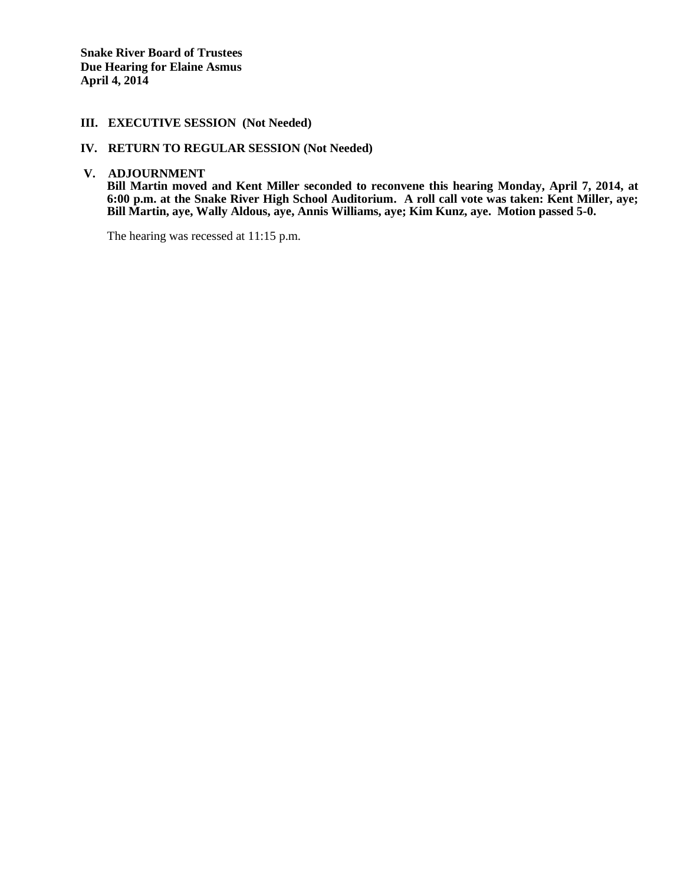**Snake River Board of Trustees Due Hearing for Elaine Asmus April 4, 2014** 

# **III. EXECUTIVE SESSION (Not Needed)**

#### **IV. RETURN TO REGULAR SESSION (Not Needed)**

**V. ADJOURNMENT**

**Bill Martin moved and Kent Miller seconded to reconvene this hearing Monday, April 7, 2014, at 6:00 p.m. at the Snake River High School Auditorium. A roll call vote was taken: Kent Miller, aye; Bill Martin, aye, Wally Aldous, aye, Annis Williams, aye; Kim Kunz, aye. Motion passed 5-0.**

The hearing was recessed at 11:15 p.m.